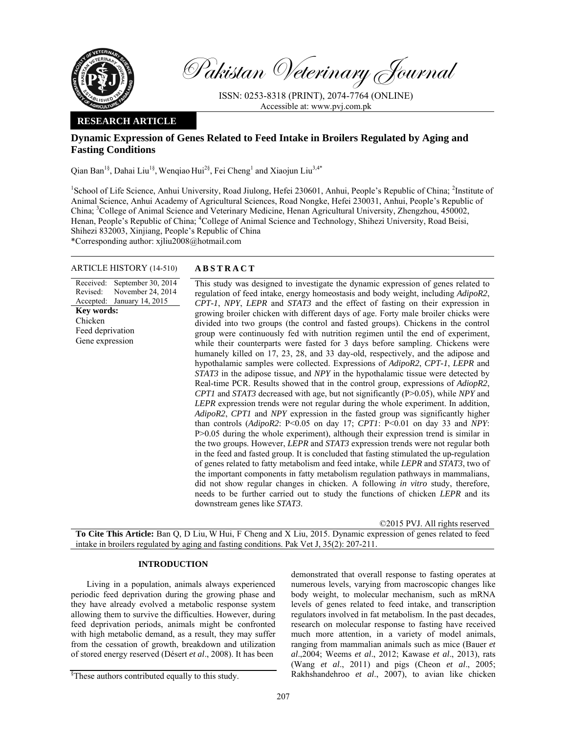

Pakistan Veterinary Journal

ISSN: 0253-8318 (PRINT), 2074-7764 (ONLINE) Accessible at: www.pvj.com.pk

## **RESEARCH ARTICLE**

# **Dynamic Expression of Genes Related to Feed Intake in Broilers Regulated by Aging and Fasting Conditions**

Qian Ban<sup>1§</sup>, Dahai Liu<sup>1§</sup>, Wenqiao Hui<sup>2§</sup>, Fei Cheng<sup>1</sup> and Xiaojun Liu<sup>3,4\*</sup>

<sup>1</sup>School of Life Science, Anhui University, Road Jiulong, Hefei 230601, Anhui, People's Republic of China; <sup>2</sup>Institute of Animal Science, Anhui Academy of Agricultural Sciences, Road Nongke, Hefei 230031, Anhui, People's Republic of China; <sup>3</sup>College of Animal Science and Veterinary Medicine, Henan Agricultural University, Zhengzhou, 450002, Henan, People's Republic of China; <sup>4</sup>College of Animal Science and Technology, Shihezi University, Road Beisi, Shihezi 832003, Xinjiang, People's Republic of China \*Corresponding author: xjliu2008@hotmail.com

## ARTICLE HISTORY (14-510) **ABSTRACT**

Received: Revised: Accepted: September 30, 2014 November 24, 2014 January 14, 2015 **Key words:**  Chicken Feed deprivation Gene expression

 This study was designed to investigate the dynamic expression of genes related to regulation of feed intake, energy homeostasis and body weight, including *AdipoR2*, *CPT-1*, *NPY*, *LEPR* and *STAT3* and the effect of fasting on their expression in growing broiler chicken with different days of age. Forty male broiler chicks were divided into two groups (the control and fasted groups). Chickens in the control group were continuously fed with nutrition regimen until the end of experiment, while their counterparts were fasted for 3 days before sampling. Chickens were humanely killed on 17, 23, 28, and 33 day-old, respectively, and the adipose and hypothalamic samples were collected. Expressions of *AdipoR2*, *CPT-1*, *LEPR* and *STAT3* in the adipose tissue, and *NPY* in the hypothalamic tissue were detected by Real-time PCR. Results showed that in the control group, expressions of *AdiopR2*, *CPT1* and *STAT3* decreased with age, but not significantly (P>0.05), while *NPY* and *LEPR* expression trends were not regular during the whole experiment. In addition, *AdipoR2*, *CPT1* and *NPY* expression in the fasted group was significantly higher than controls (*AdipoR2*: P<0.05 on day 17; *CPT1*: P<0.01 on day 33 and *NPY*: P>0.05 during the whole experiment), although their expression trend is similar in the two groups. However, *LEPR* and *STAT3* expression trends were not regular both in the feed and fasted group. It is concluded that fasting stimulated the up-regulation of genes related to fatty metabolism and feed intake, while *LEPR* and *STAT3*, two of the important components in fatty metabolism regulation pathways in mammalians, did not show regular changes in chicken. A following *in vitro* study, therefore, needs to be further carried out to study the functions of chicken *LEPR* and its downstream genes like *STAT3*.

©2015 PVJ. All rights reserved

**To Cite This Article:** Ban Q, D Liu, W Hui, F Cheng and X Liu, 2015. Dynamic expression of genes related to feed intake in broilers regulated by aging and fasting conditions. Pak Vet J, 35(2): 207-211.

## **INTRODUCTION**

Living in a population, animals always experienced periodic feed deprivation during the growing phase and they have already evolved a metabolic response system allowing them to survive the difficulties. However, during feed deprivation periods, animals might be confronted with high metabolic demand, as a result, they may suffer from the cessation of growth, breakdown and utilization of stored energy reserved (Désert *et al*., 2008). It has been

demonstrated that overall response to fasting operates at numerous levels, varying from macroscopic changes like body weight, to molecular mechanism, such as mRNA levels of genes related to feed intake, and transcription regulators involved in fat metabolism. In the past decades, research on molecular response to fasting have received much more attention, in a variety of model animals, ranging from mammalian animals such as mice (Bauer *et al*.,2004; Weems *et al*., 2012; Kawase *et al*., 2013), rats (Wang *et al*., 2011) and pigs (Cheon *et al*., 2005; Rakhshandehroo *et al*., 2007), to avian like chicken

<sup>§</sup> These authors contributed equally to this study.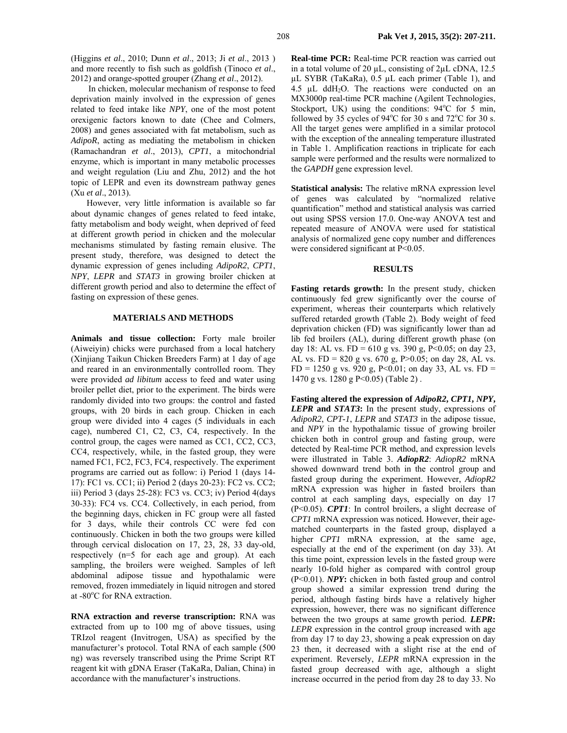In chicken, molecular mechanism of response to feed deprivation mainly involved in the expression of genes related to feed intake like *NPY*, one of the most potent orexigenic factors known to date (Chee and Colmers, 2008) and genes associated with fat metabolism, such as *AdipoR*, acting as mediating the metabolism in chicken (Ramachandran *et al*., 2013), *CPT1*, a mitochondrial enzyme, which is important in many metabolic processes and weight regulation (Liu and Zhu, 2012) and the hot topic of LEPR and even its downstream pathway genes (Xu *et al*., 2013).

However, very little information is available so far about dynamic changes of genes related to feed intake, fatty metabolism and body weight, when deprived of feed at different growth period in chicken and the molecular mechanisms stimulated by fasting remain elusive. The present study, therefore, was designed to detect the dynamic expression of genes including *AdipoR2*, *CPT1*, *NPY*, *LEPR* and *STAT3* in growing broiler chicken at different growth period and also to determine the effect of fasting on expression of these genes.

## **MATERIALS AND METHODS**

**Animals and tissue collection:** Forty male broiler (Aiweiyin) chicks were purchased from a local hatchery (Xinjiang Taikun Chicken Breeders Farm) at 1 day of age and reared in an environmentally controlled room. They were provided *ad libitum* access to feed and water using broiler pellet diet, prior to the experiment. The birds were randomly divided into two groups: the control and fasted groups, with 20 birds in each group. Chicken in each group were divided into 4 cages (5 individuals in each cage), numbered C1, C2, C3, C4, respectively. In the control group, the cages were named as CC1, CC2, CC3, CC4, respectively, while, in the fasted group, they were named FC1, FC2, FC3, FC4, respectively. The experiment programs are carried out as follow: i) Period 1 (days 14- 17): FC1 vs. CC1; ii) Period 2 (days 20-23): FC2 vs. CC2; iii) Period 3 (days 25-28): FC3 vs. CC3; iv) Period 4(days 30-33): FC4 vs. CC4. Collectively, in each period, from the beginning days, chicken in FC group were all fasted for 3 days, while their controls CC were fed con continuously. Chicken in both the two groups were killed through cervical dislocation on 17, 23, 28, 33 day-old, respectively (n=5 for each age and group). At each sampling, the broilers were weighed. Samples of left abdominal adipose tissue and hypothalamic were removed, frozen immediately in liquid nitrogen and stored at -80°C for RNA extraction.

**RNA extraction and reverse transcription:** RNA was extracted from up to 100 mg of above tissues, using TRIzol reagent (Invitrogen, USA) as specified by the manufacturer's protocol. Total RNA of each sample (500 ng) was reversely transcribed using the Prime Script RT reagent kit with gDNA Eraser (TaKaRa, Dalian, China) in accordance with the manufacturer's instructions.

**Real-time PCR:** Real-time PCR reaction was carried out in a total volume of 20 uL, consisting of 2uL cDNA, 12.5 µL SYBR (TaKaRa), 0.5 µL each primer (Table 1), and 4.5  $\mu$ L ddH<sub>2</sub>O. The reactions were conducted on an MX3000p real-time PCR machine (Agilent Technologies, Stockport, UK) using the conditions: 94°C for 5 min, followed by 35 cycles of  $94^{\circ}$ C for 30 s and  $72^{\circ}$ C for 30 s. All the target genes were amplified in a similar protocol with the exception of the annealing temperature illustrated in Table 1. Amplification reactions in triplicate for each sample were performed and the results were normalized to the *GAPDH* gene expression level.

**Statistical analysis:** The relative mRNA expression level of genes was calculated by "normalized relative quantification" method and statistical analysis was carried out using SPSS version 17.0. One-way ANOVA test and repeated measure of ANOVA were used for statistical analysis of normalized gene copy number and differences were considered significant at P<0.05.

## **RESULTS**

**Fasting retards growth:** In the present study, chicken continuously fed grew significantly over the course of experiment, whereas their counterparts which relatively suffered retarded growth (Table 2). Body weight of feed deprivation chicken (FD) was significantly lower than ad lib fed broilers (AL), during different growth phase (on day 18: AL vs. FD = 610 g vs. 390 g, P<0.05; on day 23, AL vs.  $FD = 820$  g vs.  $670$  g,  $P > 0.05$ ; on day 28, AL vs.  $FD = 1250$  g vs. 920 g, P<0.01; on day 33, AL vs.  $FD =$ 1470 g vs. 1280 g P<0.05) (Table 2) .

**Fasting altered the expression of** *AdipoR2***,** *CPT1***,** *NPY***,**  *LEPR* **and** *STAT3***:** In the present study, expressions of *AdipoR2*, *CPT-1*, *LEPR* and *STAT3* in the adipose tissue, and *NPY* in the hypothalamic tissue of growing broiler chicken both in control group and fasting group, were detected by Real-time PCR method, and expression levels were illustrated in Table 3. *AdiopR2*: *AdiopR2* mRNA showed downward trend both in the control group and fasted group during the experiment. However, *AdiopR2*  mRNA expression was higher in fasted broilers than control at each sampling days, especially on day 17 (P<0.05). *CPT1*: In control broilers, a slight decrease of *CPT1* mRNA expression was noticed*.* However, their agematched counterparts in the fasted group, displayed a higher *CPT1* mRNA expression, at the same age, especially at the end of the experiment (on day 33). At this time point, expression levels in the fasted group were nearly 10-fold higher as compared with control group (P<0.01). *NPY***:** chicken in both fasted group and control group showed a similar expression trend during the period, although fasting birds have a relatively higher expression, however, there was no significant difference between the two groups at same growth period. *LEPR***:** *LEPR* expression in the control group increased with age from day 17 to day 23, showing a peak expression on day 23 then, it decreased with a slight rise at the end of experiment. Reversely, *LEPR* mRNA expression in the fasted group decreased with age, although a slight increase occurred in the period from day 28 to day 33. No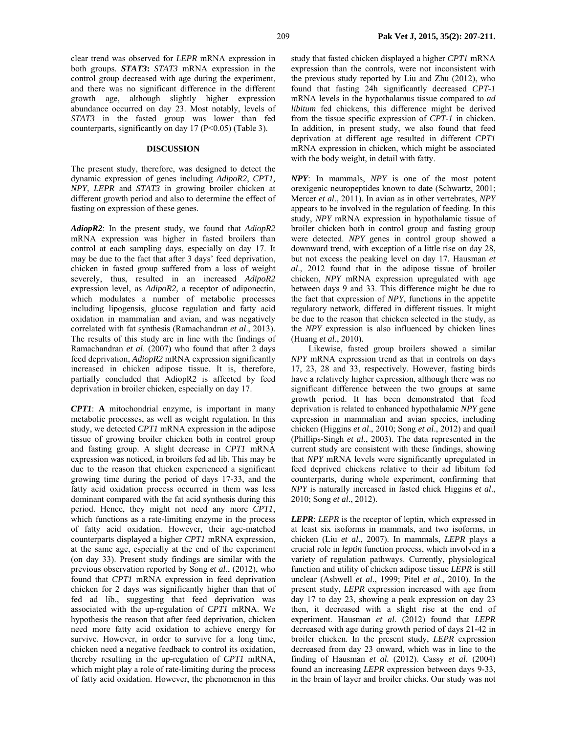## **DISCUSSION**

The present study, therefore, was designed to detect the dynamic expression of genes including *AdipoR2*, *CPT1, NPY*, *LEPR* and *STAT3* in growing broiler chicken at different growth period and also to determine the effect of fasting on expression of these genes*.* 

*AdiopR2*: In the present study, we found that *AdiopR2*  mRNA expression was higher in fasted broilers than control at each sampling days, especially on day 17. It may be due to the fact that after 3 days' feed deprivation, chicken in fasted group suffered from a loss of weight severely, thus, resulted in an increased *AdipoR2* expression level, as *AdipoR2,* a receptor of adiponectin, which modulates a number of metabolic processes including lipogensis, glucose regulation and fatty acid oxidation in mammalian and avian, and was negatively correlated with fat synthesis (Ramachandran *et al*., 2013). The results of this study are in line with the findings of Ramachandran *et al*. (2007) who found that after 2 days feed deprivation, *AdiopR2* mRNA expression significantly increased in chicken adipose tissue. It is, therefore, partially concluded that AdiopR2 is affected by feed deprivation in broiler chicken, especially on day 17.

*CPT1*: **A** mitochondrial enzyme, is important in many metabolic processes, as well as weight regulation. In this study, we detected *CPT1* mRNA expression in the adipose tissue of growing broiler chicken both in control group and fasting group. A slight decrease in *CPT1* mRNA expression was noticed, in broilers fed ad lib. This may be due to the reason that chicken experienced a significant growing time during the period of days 17-33, and the fatty acid oxidation process occurred in them was less dominant compared with the fat acid synthesis during this period. Hence, they might not need any more *CPT1*, which functions as a rate-limiting enzyme in the process of fatty acid oxidation. However, their age-matched counterparts displayed a higher *CPT1* mRNA expression, at the same age, especially at the end of the experiment (on day 33). Present study findings are similar with the previous observation reported by Song *et al*., (2012), who found that *CPT1* mRNA expression in feed deprivation chicken for 2 days was significantly higher than that of fed ad lib., suggesting that feed deprivation was associated with the up-regulation of *CPT1* mRNA. We hypothesis the reason that after feed deprivation, chicken need more fatty acid oxidation to achieve energy for survive. However, in order to survive for a long time, chicken need a negative feedback to control its oxidation, thereby resulting in the up-regulation of *CPT1* mRNA, which might play a role of rate-limiting during the process of fatty acid oxidation. However, the phenomenon in this

study that fasted chicken displayed a higher *CPT1* mRNA expression than the controls, were not inconsistent with the previous study reported by Liu and Zhu (2012), who found that fasting 24h significantly decreased *CPT-1* mRNA levels in the hypothalamus tissue compared to *ad libitum* fed chickens, this difference might be derived from the tissue specific expression of *CPT-1* in chicken. In addition, in present study, we also found that feed deprivation at different age resulted in different *CPT1* mRNA expression in chicken, which might be associated with the body weight, in detail with fatty.

*NPY*: In mammals, *NPY* is one of the most potent orexigenic neuropeptides known to date (Schwartz, 2001; Mercer *et al*., 2011). In avian as in other vertebrates, *NPY*  appears to be involved in the regulation of feeding. In this study, *NPY* mRNA expression in hypothalamic tissue of broiler chicken both in control group and fasting group were detected. *NPY* genes in control group showed a downward trend, with exception of a little rise on day 28, but not excess the peaking level on day 17. Hausman *et al*., 2012 found that in the adipose tissue of broiler chicken, *NPY* mRNA expression upregulated with age between days 9 and 33. This difference might be due to the fact that expression of *NPY*, functions in the appetite regulatory network, differed in different tissues. It might be due to the reason that chicken selected in the study, as the *NPY* expression is also influenced by chicken lines (Huang *et al*., 2010).

Likewise, fasted group broilers showed a similar *NPY* mRNA expression trend as that in controls on days 17, 23, 28 and 33, respectively. However, fasting birds have a relatively higher expression, although there was no significant difference between the two groups at same growth period. It has been demonstrated that feed deprivation is related to enhanced hypothalamic *NPY* gene expression in mammalian and avian species, including chicken (Higgins *et al*., 2010; Song *et al*., 2012) and quail (Phillips-Singh *et al*., 2003). The data represented in the current study are consistent with these findings, showing that *NPY* mRNA levels were significantly upregulated in feed deprived chickens relative to their ad libitum fed counterparts, during whole experiment, confirming that *NPY* is naturally increased in fasted chick Higgins *et al*., 2010; Song *et al*., 2012).

*LEPR*: *LEPR* is the receptor of leptin, which expressed in at least six isoforms in mammals, and two isoforms, in chicken (Liu *et al*., 2007). In mammals, *LEPR* plays a crucial role in *leptin* function process, which involved in a variety of regulation pathways. Currently, physiological function and utility of chicken adipose tissue *LEPR* is still unclear (Ashwell *et al*., 1999; Pitel *et al*., 2010). In the present study, *LEPR* expression increased with age from day 17 to day 23, showing a peak expression on day 23 then, it decreased with a slight rise at the end of experiment. Hausman *et al.* (2012) found that *LEPR*  decreased with age during growth period of days 21-42 in broiler chicken. In the present study, *LEPR* expression decreased from day 23 onward, which was in line to the finding of Hausman *et al.* (2012). Cassy *et al.* (2004) found an increasing *LEPR* expression between days 9-33, in the brain of layer and broiler chicks. Our study was not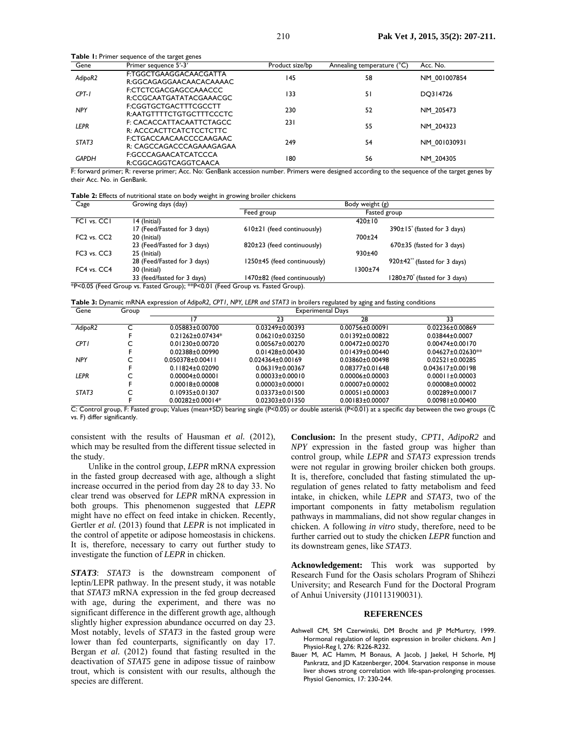| Gene         | Primer sequence 5'-3'                               | Product size/bp | Annealing temperature (°C) | Acc. No.     |
|--------------|-----------------------------------------------------|-----------------|----------------------------|--------------|
| AdipoR2      | F:TGGCTGAAGGACAACGATTA<br>R:GGCAGAGGAACAACACAAAAC   | 145             | 58                         | NM 001007854 |
| $CPT-I$      | F:CTCTCGACGAGCCAAACCC<br>R:CCGCAATGATATACGAAACGC    | 133             | 51                         | DQ314726     |
| <b>NPY</b>   | F:CGGTGCTGACTTTCGCCTT<br>R:AATGTTTTCTGTGCTTTCCCTC   | 230             | 52                         | NM 205473    |
| <b>LEPR</b>  | F: CACACCATTACAATTCTAGCC<br>R: ACCCACTTCATCTCCTCTTC | 231             | 55                         | NM 204323    |
| STAT3        | F:CTGACCAACAACCCCAAGAAC<br>R: CAGCCAGACCCAGAAAGAGAA | 249             | 54                         | NM 001030931 |
| <b>GAPDH</b> | F:GCCCAGAACATCATCCCA<br>R:CGGCAGGTCAGGTCAACA        | 180             | 56                         | NM 204305    |

F: forward primer; R: reverse primer; Acc. No: GenBank accession number. Primers were designed according to the sequence of the target genes by their Acc. No. in GenBank.

| <b>Table 2:</b> Effects of nutritional state on body weight in growing broiler chickens |  |  |  |
|-----------------------------------------------------------------------------------------|--|--|--|
|-----------------------------------------------------------------------------------------|--|--|--|

**Table 1:** Primer sequence of the target gene

| Cage                                | Growing days (day)                                                             | Body weight (g)              |                                              |
|-------------------------------------|--------------------------------------------------------------------------------|------------------------------|----------------------------------------------|
|                                     |                                                                                | Feed group                   | Fasted group                                 |
| FCI vs. CCI                         | 14 (Initial)                                                                   |                              | $420 \pm 10$                                 |
|                                     | 17 (Feed/Fasted for 3 days)                                                    | $610±21$ (feed continuously) | $390±15$ (fasted for 3 days)                 |
| FC <sub>2</sub> vs. CC <sub>2</sub> | 20 (Initial)                                                                   |                              | 700±24                                       |
|                                     | 23 (Feed/Fasted for 3 days)                                                    | 820±23 (feed continuously)   | $670\pm35$ (fasted for 3 days)               |
| FC3 vs. CC3                         | 25 (Initial)                                                                   |                              | 930±40                                       |
|                                     | 28 (Feed/Fasted for 3 days)                                                    | 1250±45 (feed continuously)  | $920\pm42$ <sup>**</sup> (fasted for 3 days) |
| FC4 vs. CC4                         | 30 (Initial)                                                                   |                              | 1300±74                                      |
|                                     | 33 (feed/fasted for 3 days)                                                    | 1470±82 (feed continuously)  | 1280±70 <sup>*</sup> (fasted for 3 days)     |
|                                     | *P<0.05 (Feed Group vs. Fasted Group); **P<0.01 (Feed Group vs. Fasted Group). |                              |                                              |

**Table 3:** Dynamic mRNA expression of *AdipoR2, CPT1, NPY, LEPR and STAT3* in broilers regulated by aging and fasting conditions

| Gene        | Group | <b>Experimental Days</b> |                                                |                                                         |                         |
|-------------|-------|--------------------------|------------------------------------------------|---------------------------------------------------------|-------------------------|
|             |       |                          | 23                                             | 28                                                      | 33                      |
| AdipoR2     |       | $0.05883 + 0.00700$      | $0.03249 \pm 0.00393$                          | $0.00756 \pm 0.00091$                                   | 0.02236±0.00869         |
|             |       | $0.21262 \pm 0.07434*$   | $0.06210 \pm 0.03250$                          | $0.01392 \pm 0.00822$                                   | $0.03844\pm0.0007$      |
| <b>CPT1</b> |       | $0.01230 \pm 0.00720$    | $0.00567 \pm 0.00270$                          | $0.00472 \pm 0.00270$                                   | $0.00474\pm0.00170$     |
|             |       | 0.02388±0.00990          | $0.01428 \pm 0.00430$                          | $0.01439 \pm 0.00440$                                   | $0.04627 \pm 0.02630**$ |
| <b>NPY</b>  |       | 0.050378+0.00411         | 0.024364+0.00169                               | 0.03860+0.00498                                         | 0.02521+0.00285         |
|             |       | $0.11824 \pm 0.02090$    | $0.06319 \pm 0.00367$                          | $0.08377 \pm 0.01648$                                   | $0.043617 \pm 0.00198$  |
| <b>LEPR</b> |       | $0.00004 \pm 0.00001$    | $0.00033\pm0.00010$                            | $0.00006 \pm 0.00003$                                   | $0.00011 \pm 0.00003$   |
|             |       | $0.00018 \pm 0.00008$    | $0.00003 \pm 0.00001$                          | $0.00007 \pm 0.00002$                                   | $0.00008 \pm 0.00002$   |
| STAT3       |       | $0.10935 \pm 0.01307$    | $0.03373 \pm 0.01500$                          | $0.00051 \pm 0.00003$                                   | $0.00289 \pm 0.00017$   |
|             |       | $0.00282 \pm 0.00014*$   | $0.02303 \pm 0.01350$                          | $0.00183\pm0.00007$                                     | $0.00981 \pm 0.00400$   |
| - -         | - -   | $- - -$<br>$\cdots$      | .<br>$\sim$ $\sim$ $\sim$ $\sim$ $\sim$ $\sim$ | $\cdot$ $\cdot$ $\cdot$ $\cdot$ $\cdot$ $\cdot$ $\cdot$ | .                       |

C: Control group, F: Fasted group; Values (mean+SD) bearing single (P<0.05) or double asterisk (P<0.01) at a specific day between the two groups (C vs. F) differ significantly.

consistent with the results of Hausman *et al.* (2012), which may be resulted from the different tissue selected in the study.

Unlike in the control group, *LEPR* mRNA expression in the fasted group decreased with age, although a slight increase occurred in the period from day 28 to day 33. No clear trend was observed for *LEPR* mRNA expression in both groups. This phenomenon suggested that *LEPR* might have no effect on feed intake in chicken. Recently, Gertler *et al.* (2013) found that *LEPR* is not implicated in the control of appetite or adipose homeostasis in chickens. It is, therefore, necessary to carry out further study to investigate the function of *LEPR* in chicken.

*STAT3*: *STAT3* is the downstream component of leptin/LEPR pathway. In the present study, it was notable that *STAT3* mRNA expression in the fed group decreased with age, during the experiment, and there was no significant difference in the different growth age, although slightly higher expression abundance occurred on day 23. Most notably, levels of *STAT3* in the fasted group were lower than fed counterparts, significantly on day 17. Bergan *et al.* (2012) found that fasting resulted in the deactivation of *STAT5* gene in adipose tissue of rainbow trout, which is consistent with our results, although the species are different.

**Conclusion:** In the present study, *CPT1*, *AdipoR2* and *NPY* expression in the fasted group was higher than control group, while *LEPR* and *STAT3* expression trends were not regular in growing broiler chicken both groups. It is, therefore, concluded that fasting stimulated the upregulation of genes related to fatty metabolism and feed intake, in chicken, while *LEPR* and *STAT3*, two of the important components in fatty metabolism regulation pathways in mammalians, did not show regular changes in chicken. A following *in vitro* study, therefore, need to be further carried out to study the chicken *LEPR* function and its downstream genes, like *STAT3*.

**Acknowledgement:** This work was supported by Research Fund for the Oasis scholars Program of Shihezi University; and Research Fund for the Doctoral Program of Anhui University (J10113190031).

#### **REFERENCES**

- Ashwell CM, SM Czerwinski, DM Brocht and JP McMurtry, 1999. Hormonal regulation of leptin expression in broiler chickens. Am J Physiol-Reg I, 276: R226-R232.
- Bauer M, AC Hamm, M Bonaus, A Jacob, J Jaekel, H Schorle, MJ Pankratz, and JD Katzenberger, 2004. Starvation response in mouse liver shows strong correlation with life-span-prolonging processes. Physiol Genomics, 17: 230-244.